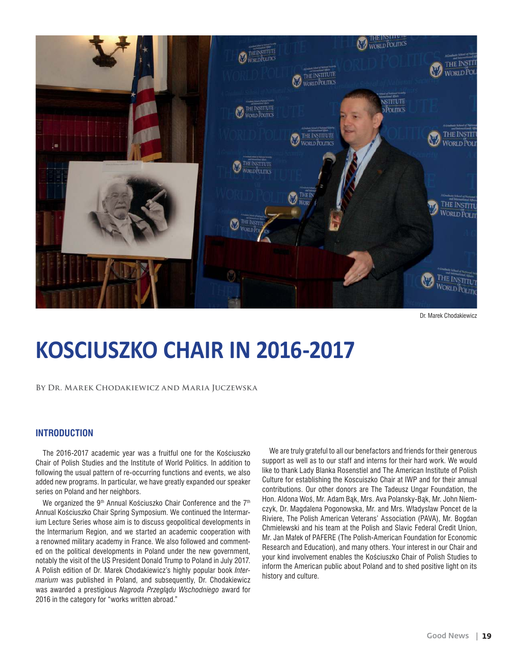

Dr. Marek Chodakiewicz

# **KOSCIUSZKO CHAIR IN 2016-2017**

#### **By Dr. Marek Chodakiewicz and Maria Juczewska**

# **INTRODUCTION**

The 2016-2017 academic year was a fruitful one for the Kościuszko Chair of Polish Studies and the Institute of World Politics. In addition to following the usual pattern of re-occurring functions and events, we also added new programs. In particular, we have greatly expanded our speaker series on Poland and her neighbors.

We organized the 9<sup>th</sup> Annual Kościuszko Chair Conference and the 7<sup>th</sup> Annual Kościuszko Chair Spring Symposium. We continued the Intermarium Lecture Series whose aim is to discuss geopolitical developments in the Intermarium Region, and we started an academic cooperation with a renowned military academy in France. We also followed and commented on the political developments in Poland under the new government, notably the visit of the US President Donald Trump to Poland in July 2017. A Polish edition of Dr. Marek Chodakiewicz's highly popular book *Intermarium* was published in Poland, and subsequently, Dr. Chodakiewicz was awarded a prestigious *Nagroda Przeglądu Wschodniego* award for 2016 in the category for "works written abroad."

We are truly grateful to all our benefactors and friends for their generous support as well as to our staff and interns for their hard work. We would like to thank Lady Blanka Rosenstiel and The American Institute of Polish Culture for establishing the Koscuiszko Chair at IWP and for their annual contributions. Our other donors are The Tadeusz Ungar Foundation, the Hon. Aldona Woś, Mr. Adam Bąk, Mrs. Ava Polansky-Bąk, Mr. John Niemczyk, Dr. Magdalena Pogonowska, Mr. and Mrs. Władysław Poncet de la Riviere, The Polish American Veterans' Association (PAVA), Mr. Bogdan Chmielewski and his team at the Polish and Slavic Federal Credit Union, Mr. Jan Małek of PAFERE (The Polish-American Foundation for Economic Research and Education), and many others. Your interest in our Chair and your kind involvement enables the Kościuszko Chair of Polish Studies to inform the American public about Poland and to shed positive light on its history and culture.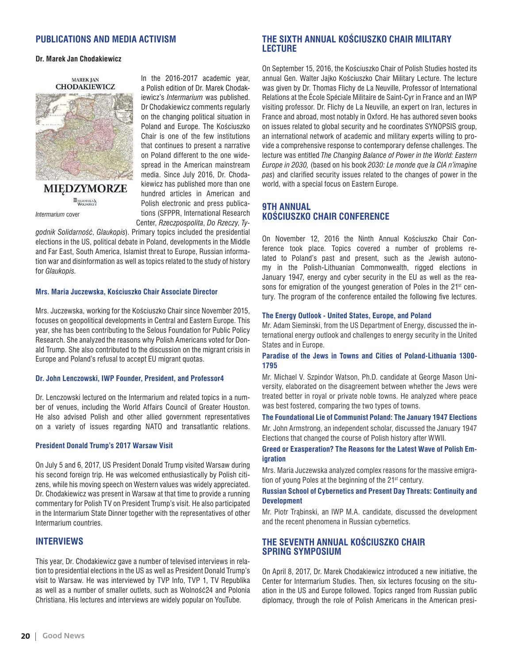# **PUBLICATIONS AND MEDIA ACTIVISM**

#### **Dr. Marek Jan Chodakiewicz**



**MIEDZYMORZE BIBLIOTEKA** *Intermarium* cover

In the 2016-2017 academic year, a Polish edition of Dr. Marek Chodakiewicz's *Intermarium* was published. Dr Chodakiewicz comments regularly on the changing political situation in Poland and Europe. The Kościuszko Chair is one of the few institutions that continues to present a narrative on Poland different to the one widespread in the American mainstream media. Since July 2016, Dr. Chodakiewicz has published more than one hundred articles in American and Polish electronic and press publications (SFPPR, International Research Center, *Rzeczpospolita*, *Do Rzeczy*, *Ty-*

*godnik Solidarność*, *Glaukopis*). Primary topics included the presidential elections in the US, political debate in Poland, developments in the Middle and Far East, South America, Islamist threat to Europe, Russian information war and disinformation as well as topics related to the study of history for *Glaukopis.*

#### **Mrs. Maria Juczewska, Kościuszko Chair Associate Director**

Mrs. Juczewska, working for the Kościuszko Chair since November 2015, focuses on geopolitical developments in Central and Eastern Europe. This year, she has been contributing to the Selous Foundation for Public Policy Research. She analyzed the reasons why Polish Americans voted for Donald Trump. She also contributed to the discussion on the migrant crisis in Europe and Poland's refusal to accept EU migrant quotas.

## **Dr. John Lenczowski, IWP Founder, President, and Professor4**

Dr. Lenczowski lectured on the Intermarium and related topics in a number of venues, including the World Affairs Council of Greater Houston. He also advised Polish and other allied government representatives on a variety of issues regarding NATO and transatlantic relations.

#### **President Donald Trump's 2017 Warsaw Visit**

On July 5 and 6, 2017, US President Donald Trump visited Warsaw during his second foreign trip. He was welcomed enthusiastically by Polish citizens, while his moving speech on Western values was widely appreciated. Dr. Chodakiewicz was present in Warsaw at that time to provide a running commentary for Polish TV on President Trump's visit. He also participated in the Intermarium State Dinner together with the representatives of other Intermarium countries.

## **INTERVIEWS**

This year, Dr. Chodakiewicz gave a number of televised interviews in relation to presidential elections in the US as well as President Donald Trump's visit to Warsaw. He was interviewed by TVP Info, TVP 1, TV Republika as well as a number of smaller outlets, such as Wolność24 and Polonia Christiana. His lectures and interviews are widely popular on YouTube.

# **THE SIXTH ANNUAL KOŚCIUSZKO CHAIR MILITARY LECTURE**

On September 15, 2016, the Kościuszko Chair of Polish Studies hosted its annual Gen. Walter Jajko Kościuszko Chair Military Lecture. The lecture was given by Dr. Thomas Flichy de La Neuville, Professor of International Relations at the École Spéciale Militaire de Saint-Cyr in France and an IWP visiting professor. Dr. Flichy de La Neuville, an expert on Iran, lectures in France and abroad, most notably in Oxford. He has authored seven books on issues related to global security and he coordinates SYNOPSIS group, an international network of academic and military experts willing to provide a comprehensive response to contemporary defense challenges. The lecture was entitled *The Changing Balance of Power in the World: Eastern Europe in 2030,* (based on his book *2030: Le monde que la CIA n'imagine pas*) and clarified security issues related to the changes of power in the world, with a special focus on Eastern Europe.

# **9TH ANNUAL KOŚCIUSZKO CHAIR CONFERENCE**

On November 12, 2016 the Ninth Annual Kościuszko Chair Conference took place. Topics covered a number of problems related to Poland's past and present, such as the Jewish autonomy in the Polish-Lithuanian Commonwealth, rigged elections in January 1947, energy and cyber security in the EU as well as the reasons for emigration of the youngest generation of Poles in the 21<sup>st</sup> century. The program of the conference entailed the following five lectures.

#### **The Energy Outlook - United States, Europe, and Poland**

Mr. Adam Sieminski, from the US Department of Energy, discussed the international energy outlook and challenges to energy security in the United States and in Europe.

## **Paradise of the Jews in Towns and Cities of Poland-Lithuania 1300- 1795**

Mr. Michael V. Szpindor Watson, Ph.D. candidate at George Mason University, elaborated on the disagreement between whether the Jews were treated better in royal or private noble towns. He analyzed where peace was best fostered, comparing the two types of towns.

## **The Foundational Lie of Communist Poland: The January 1947 Elections**

Mr. John Armstrong, an independent scholar, discussed the January 1947 Elections that changed the course of Polish history after WWII.

## **Greed or Exasperation? The Reasons for the Latest Wave of Polish Emigration**

Mrs. Maria Juczewska analyzed complex reasons for the massive emigration of young Poles at the beginning of the 21<sup>st</sup> century.

## **Russian School of Cybernetics and Present Day Threats: Continuity and Development**

Mr. Piotr Trąbinski, an IWP M.A. candidate, discussed the development and the recent phenomena in Russian cybernetics.

# **THE SEVENTH ANNUAL KOŚCIUSZKO CHAIR SPRING SYMPOSIUM**

On April 8, 2017, Dr. Marek Chodakiewicz introduced a new initiative, the Center for Intermarium Studies. Then, six lectures focusing on the situation in the US and Europe followed. Topics ranged from Russian public diplomacy, through the role of Polish Americans in the American presi